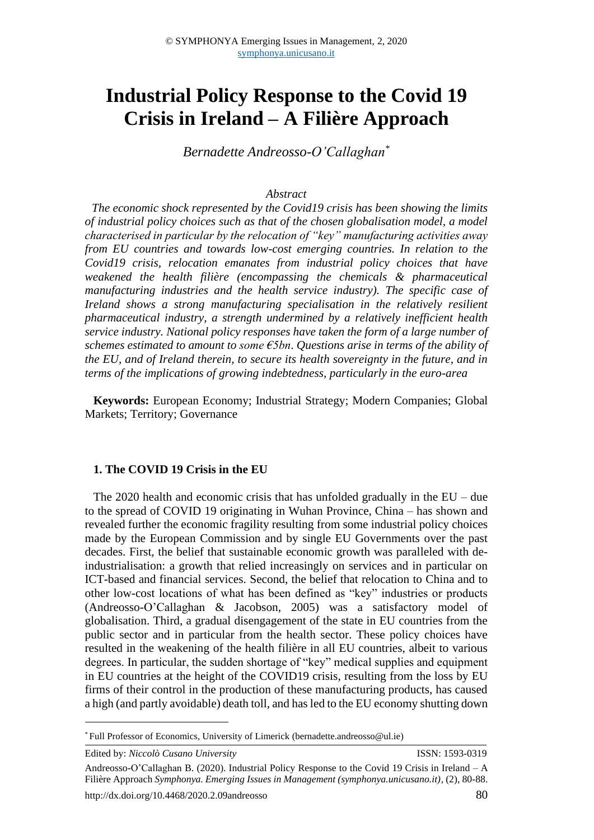# **Industrial Policy Response to the Covid 19 Crisis in Ireland – A Filière Approach**

*Bernadette Andreosso-O'Callaghan\**

#### *Abstract*

*The economic shock represented by the Covid19 crisis has been showing the limits of industrial policy choices such as that of the chosen globalisation model, a model characterised in particular by the relocation of "key" manufacturing activities away from EU countries and towards low-cost emerging countries. In relation to the Covid19 crisis, relocation emanates from industrial policy choices that have weakened the health filière (encompassing the chemicals & pharmaceutical manufacturing industries and the health service industry). The specific case of Ireland shows a strong manufacturing specialisation in the relatively resilient pharmaceutical industry, a strength undermined by a relatively inefficient health service industry. National policy responses have taken the form of a large number of schemes estimated to amount to some €5bn*. *Questions arise in terms of the ability of the EU, and of Ireland therein, to secure its health sovereignty in the future, and in terms of the implications of growing indebtedness, particularly in the euro-area*

**Keywords:** European Economy; Industrial Strategy; Modern Companies; Global Markets; Territory; Governance

#### **1. The COVID 19 Crisis in the EU**

The 2020 health and economic crisis that has unfolded gradually in the EU – due to the spread of COVID 19 originating in Wuhan Province, China – has shown and revealed further the economic fragility resulting from some industrial policy choices made by the European Commission and by single EU Governments over the past decades. First, the belief that sustainable economic growth was paralleled with deindustrialisation: a growth that relied increasingly on services and in particular on ICT-based and financial services. Second, the belief that relocation to China and to other low-cost locations of what has been defined as "key" industries or products (Andreosso-O'Callaghan & Jacobson, 2005) was a satisfactory model of globalisation. Third, a gradual disengagement of the state in EU countries from the public sector and in particular from the health sector. These policy choices have resulted in the weakening of the health filière in all EU countries, albeit to various degrees. In particular, the sudden shortage of "key" medical supplies and equipment in EU countries at the height of the COVID19 crisis, resulting from the loss by EU firms of their control in the production of these manufacturing products, has caused a high (and partly avoidable) death toll, and has led to the EU economy shutting down

Edited by: *Niccolò Cusano University* ISSN: 1593-0319 Andreosso-O'Callaghan B. (2020). Industrial Policy Response to the Covid 19 Crisis in Ireland – A Filière Approach *Symphonya. Emerging Issues in Management (symphonya.unicusano.it)*, (2), 80-88. http://dx.doi.org/10.4468/2020.2.09andreosso 80

<sup>\*</sup> Full Professor of Economics, University of Limerick (bernadette.andreosso@ul.ie)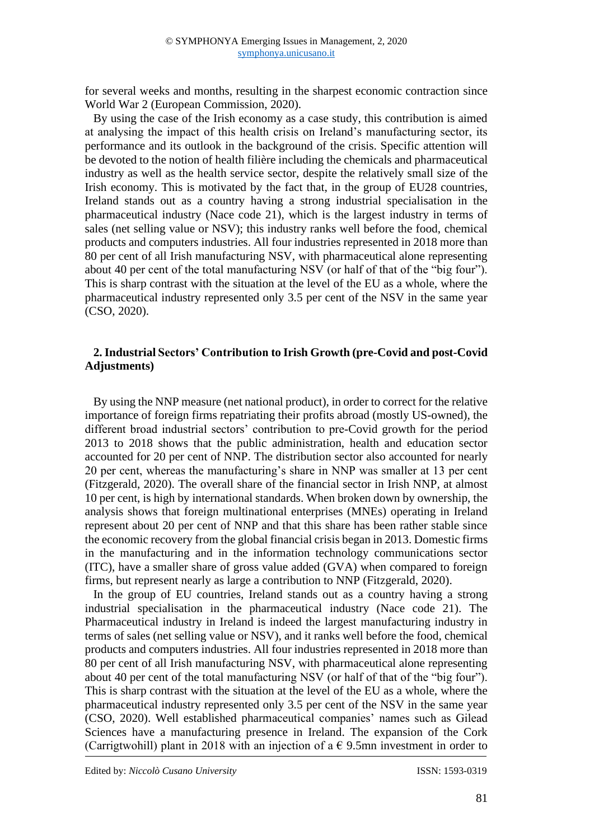for several weeks and months, resulting in the sharpest economic contraction since World War 2 (European Commission, 2020).

By using the case of the Irish economy as a case study, this contribution is aimed at analysing the impact of this health crisis on Ireland's manufacturing sector, its performance and its outlook in the background of the crisis. Specific attention will be devoted to the notion of health filière including the chemicals and pharmaceutical industry as well as the health service sector, despite the relatively small size of the Irish economy. This is motivated by the fact that, in the group of EU28 countries, Ireland stands out as a country having a strong industrial specialisation in the pharmaceutical industry (Nace code 21), which is the largest industry in terms of sales (net selling value or NSV); this industry ranks well before the food, chemical products and computers industries. All four industries represented in 2018 more than 80 per cent of all Irish manufacturing NSV, with pharmaceutical alone representing about 40 per cent of the total manufacturing NSV (or half of that of the "big four"). This is sharp contrast with the situation at the level of the EU as a whole, where the pharmaceutical industry represented only 3.5 per cent of the NSV in the same year (CSO, 2020).

## **2. Industrial Sectors' Contribution to Irish Growth (pre-Covid and post-Covid Adjustments)**

By using the NNP measure (net national product), in order to correct for the relative importance of foreign firms repatriating their profits abroad (mostly US-owned), the different broad industrial sectors' contribution to pre-Covid growth for the period 2013 to 2018 shows that the public administration, health and education sector accounted for 20 per cent of NNP. The distribution sector also accounted for nearly 20 per cent, whereas the manufacturing's share in NNP was smaller at 13 per cent (Fitzgerald, 2020). The overall share of the financial sector in Irish NNP, at almost 10 per cent, is high by international standards. When broken down by ownership, the analysis shows that foreign multinational enterprises (MNEs) operating in Ireland represent about 20 per cent of NNP and that this share has been rather stable since the economic recovery from the global financial crisis began in 2013. Domestic firms in the manufacturing and in the information technology communications sector (ITC), have a smaller share of gross value added (GVA) when compared to foreign firms, but represent nearly as large a contribution to NNP (Fitzgerald, 2020).

In the group of EU countries, Ireland stands out as a country having a strong industrial specialisation in the pharmaceutical industry (Nace code 21). The Pharmaceutical industry in Ireland is indeed the largest manufacturing industry in terms of sales (net selling value or NSV), and it ranks well before the food, chemical products and computers industries. All four industries represented in 2018 more than 80 per cent of all Irish manufacturing NSV, with pharmaceutical alone representing about 40 per cent of the total manufacturing NSV (or half of that of the "big four"). This is sharp contrast with the situation at the level of the EU as a whole, where the pharmaceutical industry represented only 3.5 per cent of the NSV in the same year (CSO, 2020). Well established pharmaceutical companies' names such as Gilead Sciences have a manufacturing presence in Ireland. The expansion of the Cork (Carrigtwohill) plant in 2018 with an injection of a  $\epsilon$  9.5mn investment in order to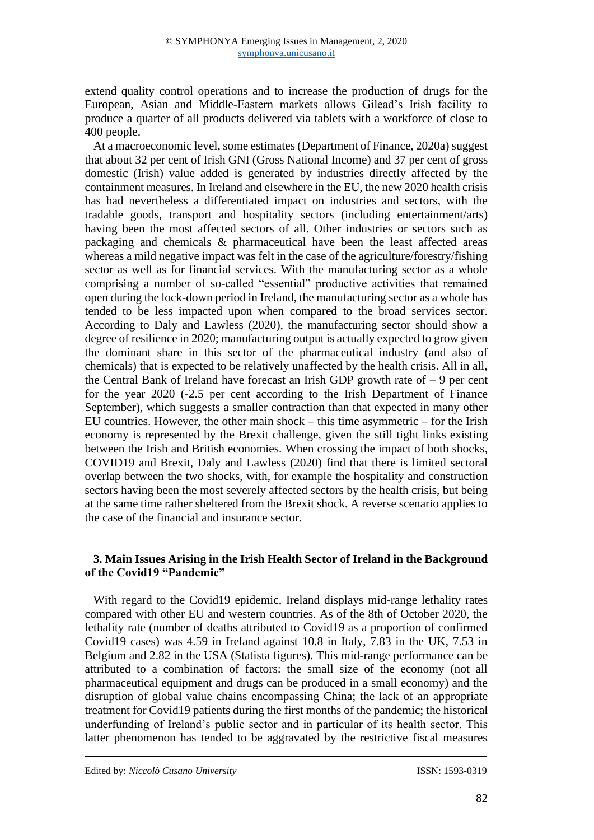extend quality control operations and to increase the production of drugs for the European, Asian and Middle-Eastern markets allows Gilead's Irish facility to produce a quarter of all products delivered via tablets with a workforce of close to 400 people.

At a macroeconomic level, some estimates (Department of Finance, 2020a) suggest that about 32 per cent of Irish GNI (Gross National Income) and 37 per cent of gross domestic (Irish) value added is generated by industries directly affected by the containment measures. In Ireland and elsewhere in the EU, the new 2020 health crisis has had nevertheless a differentiated impact on industries and sectors, with the tradable goods, transport and hospitality sectors (including entertainment/arts) having been the most affected sectors of all. Other industries or sectors such as packaging and chemicals & pharmaceutical have been the least affected areas whereas a mild negative impact was felt in the case of the agriculture/forestry/fishing sector as well as for financial services. With the manufacturing sector as a whole comprising a number of so-called "essential" productive activities that remained open during the lock-down period in Ireland, the manufacturing sector as a whole has tended to be less impacted upon when compared to the broad services sector. According to Daly and Lawless (2020), the manufacturing sector should show a degree of resilience in 2020; manufacturing output is actually expected to grow given the dominant share in this sector of the pharmaceutical industry (and also of chemicals) that is expected to be relatively unaffected by the health crisis. All in all, the Central Bank of Ireland have forecast an Irish GDP growth rate of  $-9$  per cent for the year 2020 (-2.5 per cent according to the Irish Department of Finance September), which suggests a smaller contraction than that expected in many other EU countries. However, the other main shock – this time asymmetric – for the Irish economy is represented by the Brexit challenge, given the still tight links existing between the Irish and British economies. When crossing the impact of both shocks, COVID19 and Brexit, Daly and Lawless (2020) find that there is limited sectoral overlap between the two shocks, with, for example the hospitality and construction sectors having been the most severely affected sectors by the health crisis, but being at the same time rather sheltered from the Brexit shock. A reverse scenario applies to the case of the financial and insurance sector.

# **3. Main Issues Arising in the Irish Health Sector of Ireland in the Background of the Covid19 "Pandemic"**

With regard to the Covid19 epidemic, Ireland displays mid-range lethality rates compared with other EU and western countries. As of the 8th of October 2020, the lethality rate (number of deaths attributed to Covid19 as a proportion of confirmed Covid19 cases) was 4.59 in Ireland against 10.8 in Italy, 7.83 in the UK, 7.53 in Belgium and 2.82 in the USA (Statista figures). This mid-range performance can be attributed to a combination of factors: the small size of the economy (not all pharmaceutical equipment and drugs can be produced in a small economy) and the disruption of global value chains encompassing China; the lack of an appropriate treatment for Covid19 patients during the first months of the pandemic; the historical underfunding of Ireland's public sector and in particular of its health sector. This latter phenomenon has tended to be aggravated by the restrictive fiscal measures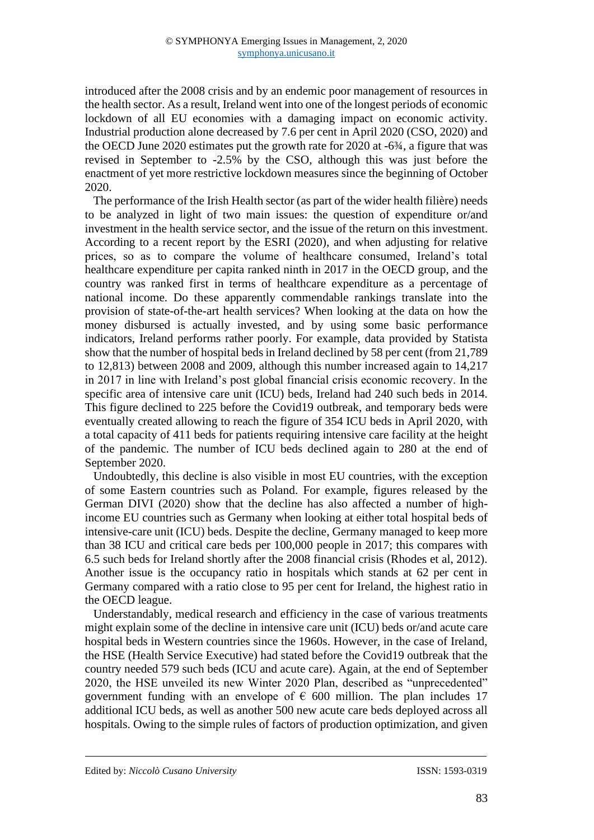introduced after the 2008 crisis and by an endemic poor management of resources in the health sector. As a result, Ireland went into one of the longest periods of economic lockdown of all EU economies with a damaging impact on economic activity. Industrial production alone decreased by 7.6 per cent in April 2020 (CSO, 2020) and the OECD June 2020 estimates put the growth rate for 2020 at -6¾, a figure that was revised in September to -2.5% by the CSO, although this was just before the enactment of yet more restrictive lockdown measures since the beginning of October 2020.

The performance of the Irish Health sector (as part of the wider health filière) needs to be analyzed in light of two main issues: the question of expenditure or/and investment in the health service sector, and the issue of the return on this investment. According to a recent report by the ESRI (2020), and when adjusting for relative prices, so as to compare the volume of healthcare consumed, Ireland's total healthcare expenditure per capita ranked ninth in 2017 in the OECD group, and the country was ranked first in terms of healthcare expenditure as a percentage of national income. Do these apparently commendable rankings translate into the provision of state-of-the-art health services? When looking at the data on how the money disbursed is actually invested, and by using some basic performance indicators, Ireland performs rather poorly. For example, data provided by Statista show that the number of hospital beds in Ireland declined by 58 per cent (from 21,789 to 12,813) between 2008 and 2009, although this number increased again to 14,217 in 2017 in line with Ireland's post global financial crisis economic recovery. In the specific area of intensive care unit (ICU) beds, Ireland had 240 such beds in 2014. This figure declined to 225 before the Covid19 outbreak, and temporary beds were eventually created allowing to reach the figure of 354 ICU beds in April 2020, with a total capacity of 411 beds for patients requiring intensive care facility at the height of the pandemic. The number of ICU beds declined again to 280 at the end of September 2020.

Undoubtedly, this decline is also visible in most EU countries, with the exception of some Eastern countries such as Poland. For example, figures released by the German DIVI (2020) show that the decline has also affected a number of highincome EU countries such as Germany when looking at either total hospital beds of intensive-care unit (ICU) beds. Despite the decline, Germany managed to keep more than 38 ICU and critical care beds per 100,000 people in 2017; this compares with 6.5 such beds for Ireland shortly after the 2008 financial crisis (Rhodes et al, 2012). Another issue is the occupancy ratio in hospitals which stands at 62 per cent in Germany compared with a ratio close to 95 per cent for Ireland, the highest ratio in the OECD league.

Understandably, medical research and efficiency in the case of various treatments might explain some of the decline in intensive care unit (ICU) beds or/and acute care hospital beds in Western countries since the 1960s. However, in the case of Ireland, the HSE (Health Service Executive) had stated before the Covid19 outbreak that the country needed 579 such beds (ICU and acute care). Again, at the end of September 2020, the HSE unveiled its new Winter 2020 Plan, described as "unprecedented" government funding with an envelope of  $\epsilon$  600 million. The plan includes 17 additional ICU beds, as well as another 500 new acute care beds deployed across all hospitals. Owing to the simple rules of factors of production optimization, and given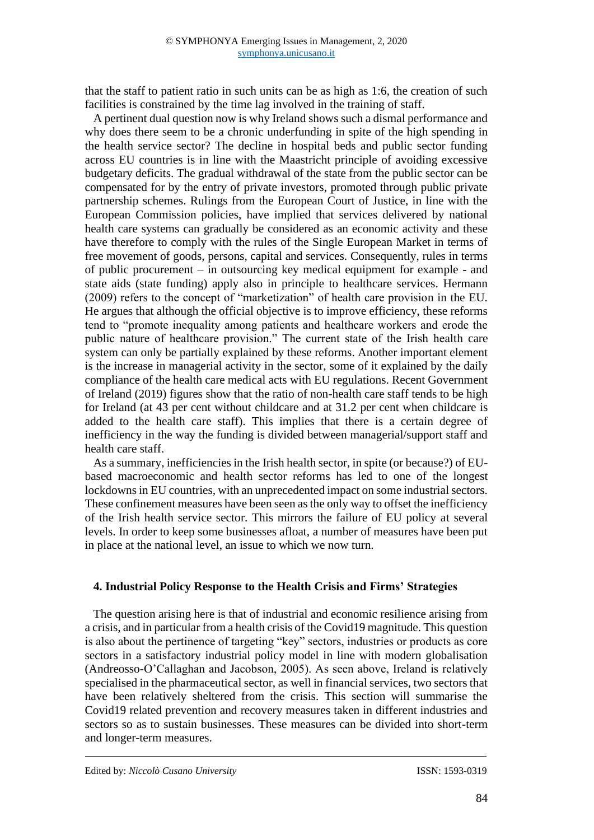that the staff to patient ratio in such units can be as high as 1:6, the creation of such facilities is constrained by the time lag involved in the training of staff.

A pertinent dual question now is why Ireland shows such a dismal performance and why does there seem to be a chronic underfunding in spite of the high spending in the health service sector? The decline in hospital beds and public sector funding across EU countries is in line with the Maastricht principle of avoiding excessive budgetary deficits. The gradual withdrawal of the state from the public sector can be compensated for by the entry of private investors, promoted through public private partnership schemes. Rulings from the European Court of Justice, in line with the European Commission policies, have implied that services delivered by national health care systems can gradually be considered as an economic activity and these have therefore to comply with the rules of the Single European Market in terms of free movement of goods, persons, capital and services. Consequently, rules in terms of public procurement – in outsourcing key medical equipment for example - and state aids (state funding) apply also in principle to healthcare services. Hermann (2009) refers to the concept of "marketization" of health care provision in the EU. He argues that although the official objective is to improve efficiency, these reforms tend to "promote inequality among patients and healthcare workers and erode the public nature of healthcare provision." The current state of the Irish health care system can only be partially explained by these reforms. Another important element is the increase in managerial activity in the sector, some of it explained by the daily compliance of the health care medical acts with EU regulations. Recent Government of Ireland (2019) figures show that the ratio of non-health care staff tends to be high for Ireland (at 43 per cent without childcare and at 31.2 per cent when childcare is added to the health care staff). This implies that there is a certain degree of inefficiency in the way the funding is divided between managerial/support staff and health care staff.

As a summary, inefficiencies in the Irish health sector, in spite (or because?) of EUbased macroeconomic and health sector reforms has led to one of the longest lockdowns in EU countries, with an unprecedented impact on some industrial sectors. These confinement measures have been seen as the only way to offset the inefficiency of the Irish health service sector. This mirrors the failure of EU policy at several levels. In order to keep some businesses afloat, a number of measures have been put in place at the national level, an issue to which we now turn.

### **4. Industrial Policy Response to the Health Crisis and Firms' Strategies**

The question arising here is that of industrial and economic resilience arising from a crisis, and in particular from a health crisis of the Covid19 magnitude. This question is also about the pertinence of targeting "key" sectors, industries or products as core sectors in a satisfactory industrial policy model in line with modern globalisation (Andreosso-O'Callaghan and Jacobson, 2005). As seen above, Ireland is relatively specialised in the pharmaceutical sector, as well in financial services, two sectors that have been relatively sheltered from the crisis. This section will summarise the Covid19 related prevention and recovery measures taken in different industries and sectors so as to sustain businesses. These measures can be divided into short-term and longer-term measures.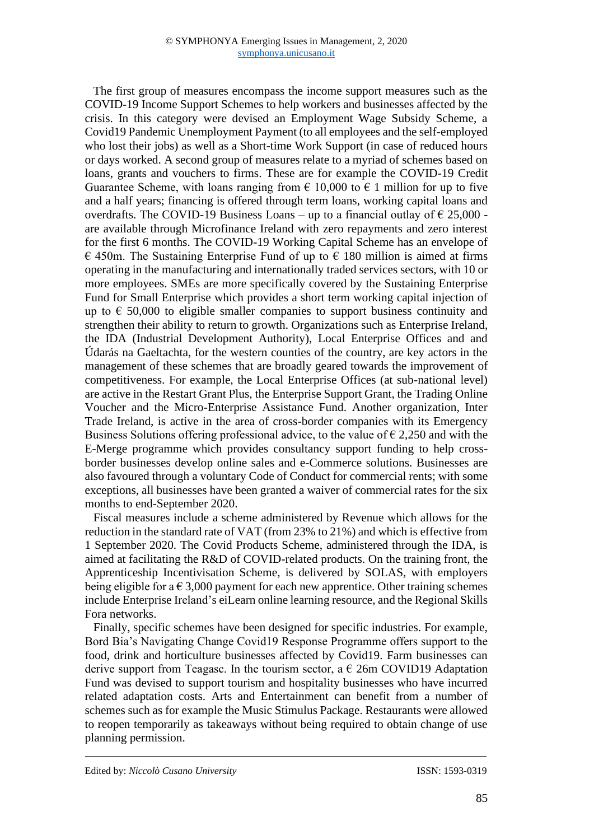The first group of measures encompass the income support measures such as the COVID-19 Income Support Schemes to help workers and businesses affected by the crisis. In this category were devised an Employment Wage Subsidy Scheme, a Covid19 Pandemic Unemployment Payment (to all employees and the self-employed who lost their jobs) as well as a Short-time Work Support (in case of reduced hours or days worked. A second group of measures relate to a myriad of schemes based on loans, grants and vouchers to firms. These are for example the COVID-19 Credit Guarantee Scheme, with loans ranging from  $\epsilon$  10,000 to  $\epsilon$  1 million for up to five and a half years; financing is offered through term loans, working capital loans and overdrafts. The COVID-19 Business Loans – up to a financial outlay of  $\epsilon$  25,000 are available through Microfinance Ireland with zero repayments and zero interest for the first 6 months. The COVID-19 Working Capital Scheme has an envelope of  $\epsilon$  450m. The Sustaining Enterprise Fund of up to  $\epsilon$  180 million is aimed at firms operating in the manufacturing and internationally traded services sectors, with 10 or more employees. SMEs are more specifically covered by the Sustaining Enterprise Fund for Small Enterprise which provides a short term working capital injection of up to  $\epsilon$  50,000 to eligible smaller companies to support business continuity and strengthen their ability to return to growth. Organizations such as Enterprise Ireland, the IDA (Industrial Development Authority), Local Enterprise Offices and and Údarás na Gaeltachta, for the western counties of the country, are key actors in the management of these schemes that are broadly geared towards the improvement of competitiveness. For example, the Local Enterprise Offices (at sub-national level) are active in the Restart Grant Plus, the Enterprise Support Grant, the Trading Online Voucher and the Micro-Enterprise Assistance Fund. Another organization, Inter Trade Ireland, is active in the area of cross-border companies with its Emergency Business Solutions offering professional advice, to the value of  $\epsilon$  2,250 and with the E-Merge programme which provides consultancy support funding to help crossborder businesses develop online sales and e-Commerce solutions. Businesses are also favoured through a voluntary Code of Conduct for commercial rents; with some exceptions, all businesses have been granted a waiver of commercial rates for the six months to end-September 2020.

Fiscal measures include a scheme administered by Revenue which allows for the reduction in the standard rate of VAT (from 23% to 21%) and which is effective from 1 September 2020. The Covid Products Scheme, administered through the IDA, is aimed at facilitating the R&D of COVID-related products. On the training front, the Apprenticeship Incentivisation Scheme, is delivered by SOLAS, with employers being eligible for a  $\epsilon$  3,000 payment for each new apprentice. Other training schemes include Enterprise Ireland's eiLearn online learning resource, and the Regional Skills Fora networks.

Finally, specific schemes have been designed for specific industries. For example, Bord Bia's Navigating Change Covid19 Response Programme offers support to the food, drink and horticulture businesses affected by Covid19. Farm businesses can derive support from Teagasc. In the tourism sector, a  $\epsilon$  26m COVID19 Adaptation Fund was devised to support tourism and hospitality businesses who have incurred related adaptation costs. Arts and Entertainment can benefit from a number of schemes such as for example the Music Stimulus Package. Restaurants were allowed to reopen temporarily as takeaways without being required to obtain change of use planning permission.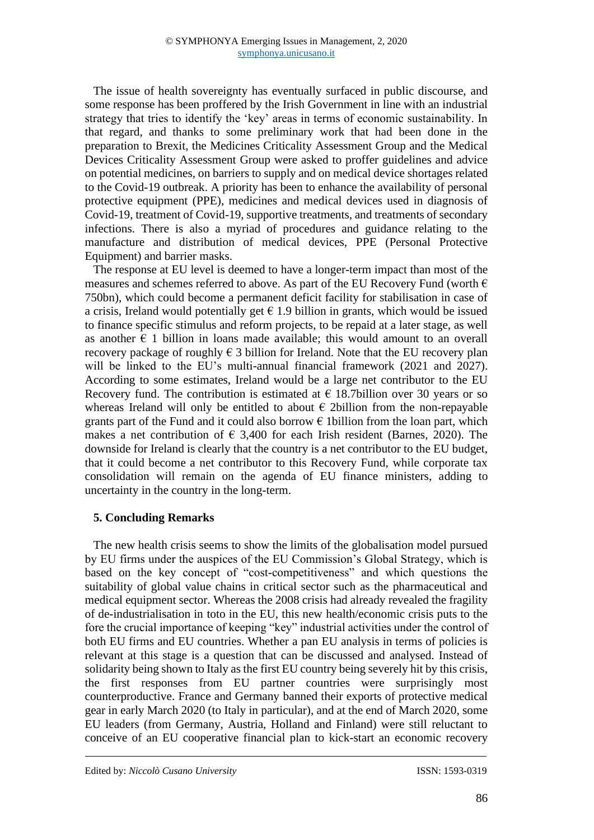The issue of health sovereignty has eventually surfaced in public discourse, and some response has been proffered by the Irish Government in line with an industrial strategy that tries to identify the 'key' areas in terms of economic sustainability. In that regard, and thanks to some preliminary work that had been done in the preparation to Brexit, the Medicines Criticality Assessment Group and the Medical Devices Criticality Assessment Group were asked to proffer guidelines and advice on potential medicines, on barriers to supply and on medical device shortages related to the Covid-19 outbreak. A priority has been to enhance the availability of personal protective equipment (PPE), medicines and medical devices used in diagnosis of Covid-19, treatment of Covid-19, supportive treatments, and treatments of secondary infections. There is also a myriad of procedures and guidance relating to the manufacture and distribution of medical devices, PPE (Personal Protective Equipment) and barrier masks.

The response at EU level is deemed to have a longer-term impact than most of the measures and schemes referred to above. As part of the EU Recovery Fund (worth  $\epsilon$ ) 750bn), which could become a permanent deficit facility for stabilisation in case of a crisis, Ireland would potentially get  $\epsilon$  1.9 billion in grants, which would be issued to finance specific stimulus and reform projects, to be repaid at a later stage, as well as another  $\epsilon$  1 billion in loans made available; this would amount to an overall recovery package of roughly  $\epsilon$  3 billion for Ireland. Note that the EU recovery plan will be linked to the EU's multi-annual financial framework (2021 and 2027). According to some estimates, Ireland would be a large net contributor to the EU Recovery fund. The contribution is estimated at  $\epsilon$  18.7billion over 30 years or so whereas Ireland will only be entitled to about  $\epsilon$  2billion from the non-repayable grants part of the Fund and it could also borrow  $\epsilon$  1 billion from the loan part, which makes a net contribution of  $\epsilon$  3,400 for each Irish resident (Barnes, 2020). The downside for Ireland is clearly that the country is a net contributor to the EU budget, that it could become a net contributor to this Recovery Fund, while corporate tax consolidation will remain on the agenda of EU finance ministers, adding to uncertainty in the country in the long-term.

# **5. Concluding Remarks**

The new health crisis seems to show the limits of the globalisation model pursued by EU firms under the auspices of the EU Commission's Global Strategy, which is based on the key concept of "cost-competitiveness" and which questions the suitability of global value chains in critical sector such as the pharmaceutical and medical equipment sector. Whereas the 2008 crisis had already revealed the fragility of de-industrialisation in toto in the EU, this new health/economic crisis puts to the fore the crucial importance of keeping "key" industrial activities under the control of both EU firms and EU countries. Whether a pan EU analysis in terms of policies is relevant at this stage is a question that can be discussed and analysed. Instead of solidarity being shown to Italy as the first EU country being severely hit by this crisis, the first responses from EU partner countries were surprisingly most counterproductive. France and Germany banned their exports of protective medical gear in early March 2020 (to Italy in particular), and at the end of March 2020, some EU leaders (from Germany, Austria, Holland and Finland) were still reluctant to conceive of an EU cooperative financial plan to kick-start an economic recovery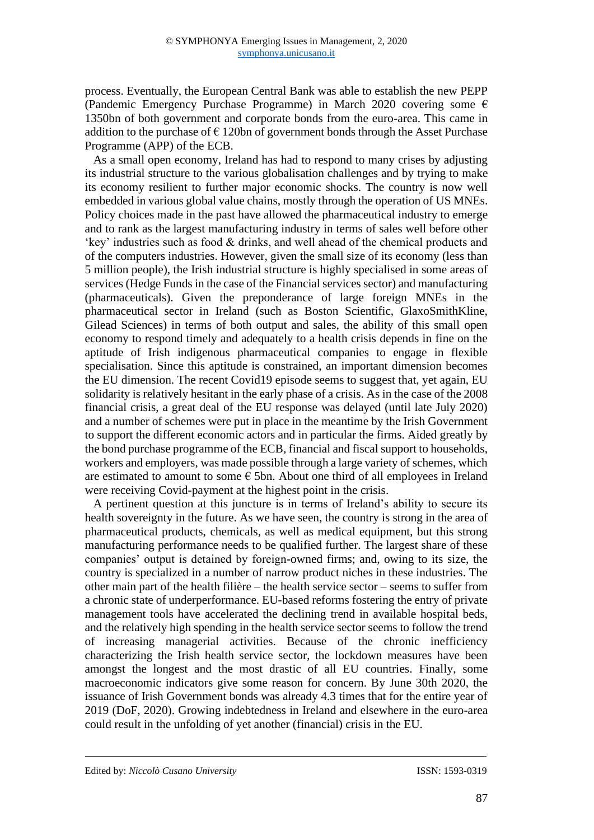process. Eventually, the European Central Bank was able to establish the new PEPP (Pandemic Emergency Purchase Programme) in March 2020 covering some  $\epsilon$ 1350bn of both government and corporate bonds from the euro-area. This came in addition to the purchase of  $\epsilon$  120bn of government bonds through the Asset Purchase Programme (APP) of the ECB.

As a small open economy, Ireland has had to respond to many crises by adjusting its industrial structure to the various globalisation challenges and by trying to make its economy resilient to further major economic shocks. The country is now well embedded in various global value chains, mostly through the operation of US MNEs. Policy choices made in the past have allowed the pharmaceutical industry to emerge and to rank as the largest manufacturing industry in terms of sales well before other 'key' industries such as food & drinks, and well ahead of the chemical products and of the computers industries. However, given the small size of its economy (less than 5 million people), the Irish industrial structure is highly specialised in some areas of services (Hedge Funds in the case of the Financial services sector) and manufacturing (pharmaceuticals). Given the preponderance of large foreign MNEs in the pharmaceutical sector in Ireland (such as Boston Scientific, GlaxoSmithKline, Gilead Sciences) in terms of both output and sales, the ability of this small open economy to respond timely and adequately to a health crisis depends in fine on the aptitude of Irish indigenous pharmaceutical companies to engage in flexible specialisation. Since this aptitude is constrained, an important dimension becomes the EU dimension. The recent Covid19 episode seems to suggest that, yet again, EU solidarity is relatively hesitant in the early phase of a crisis. As in the case of the 2008 financial crisis, a great deal of the EU response was delayed (until late July 2020) and a number of schemes were put in place in the meantime by the Irish Government to support the different economic actors and in particular the firms. Aided greatly by the bond purchase programme of the ECB, financial and fiscal support to households, workers and employers, was made possible through a large variety of schemes, which are estimated to amount to some  $\epsilon$  5bn. About one third of all employees in Ireland were receiving Covid-payment at the highest point in the crisis.

A pertinent question at this juncture is in terms of Ireland's ability to secure its health sovereignty in the future. As we have seen, the country is strong in the area of pharmaceutical products, chemicals, as well as medical equipment, but this strong manufacturing performance needs to be qualified further. The largest share of these companies' output is detained by foreign-owned firms; and, owing to its size, the country is specialized in a number of narrow product niches in these industries. The other main part of the health filière – the health service sector – seems to suffer from a chronic state of underperformance. EU-based reforms fostering the entry of private management tools have accelerated the declining trend in available hospital beds, and the relatively high spending in the health service sector seems to follow the trend of increasing managerial activities. Because of the chronic inefficiency characterizing the Irish health service sector, the lockdown measures have been amongst the longest and the most drastic of all EU countries. Finally, some macroeconomic indicators give some reason for concern. By June 30th 2020, the issuance of Irish Government bonds was already 4.3 times that for the entire year of 2019 (DoF, 2020). Growing indebtedness in Ireland and elsewhere in the euro-area could result in the unfolding of yet another (financial) crisis in the EU.